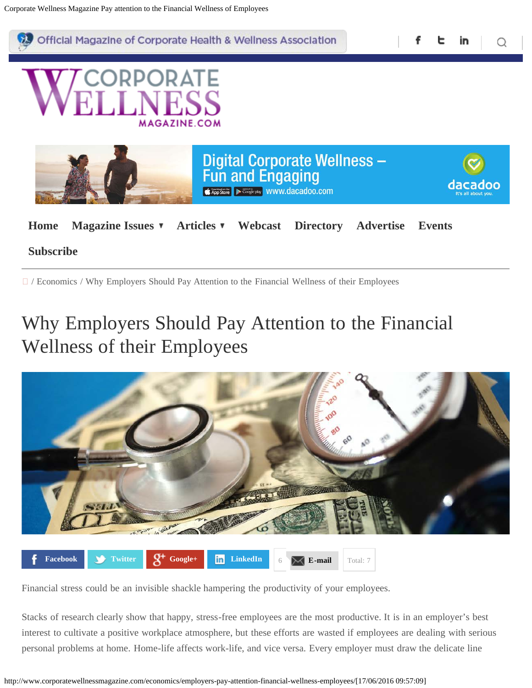<span id="page-0-0"></span>

#### **[Subscribe](http://www.corporatewellnessmagazine.com/subscribe-to-cwm/)**

/ Economics / Why Employers Should Pay Attention to the Financial Wellness of their Employees

#### Why Employers Should Pay Attention to the Financial Wellness of their Employees



Financial stress could be an invisible shackle hampering the productivity of your employees.

Stacks of research clearly show that happy, stress-free employees are the most productive. It is in an employer's best interest to cultivate a positive workplace atmosphere, but these efforts are wasted if employees are dealing with serious personal problems at home. Home-life affects work-life, and vice versa. Every employer must draw the delicate line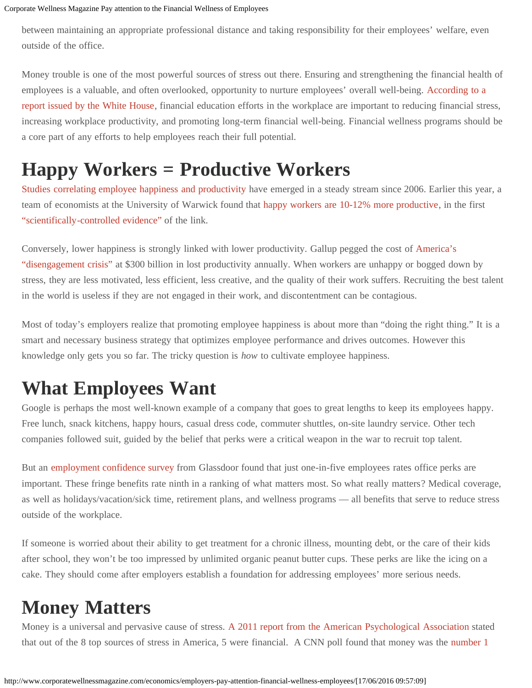between maintaining an appropriate professional distance and taking responsibility for their employees' welfare, even outside of the office.

Money trouble is one of the most powerful sources of stress out there. Ensuring and strengthening the financial health of employees is a valuable, and often overlooked, opportunity to nurture employees' overall well-being. [According to a](http://www.whitehouse.gov/sites/default/files/final_toolkit_employers.pdf) [report issued by the White House](http://www.whitehouse.gov/sites/default/files/final_toolkit_employers.pdf), financial education efforts in the workplace are important to reducing financial stress, increasing workplace productivity, and promoting long-term financial well-being. Financial wellness programs should be a core part of any efforts to help employees reach their full potential.

## **Happy Workers = Productive Workers**

[Studies correlating employee happiness and productivity](http://www.fastcoexist.com/3017403/why-your-boss-cares-if-youre-happy) have emerged in a steady stream since 2006. Earlier this year, a team of economists at the University of Warwick found that [happy workers are 10-12% more productive,](http://www2.warwick.ac.uk/fac/soc/economics/staff/eproto/workingpapers/happinessproductivity.pdf) in the first ["scientifically-controlled evidence"](http://www2.warwick.ac.uk/fac/soc/economics/staff/eproto/workingpapers/happinessproductivity.pdf) of the link.

Conversely, lower happiness is strongly linked with lower productivity. Gallup pegged the cost of [America's](http://www.nytimes.com/2011/09/04/opinion/sunday/do-happier-people-work-harder.html?_r=0) ["disengagement crisis"](http://www.nytimes.com/2011/09/04/opinion/sunday/do-happier-people-work-harder.html?_r=0) at \$300 billion in lost productivity annually. When workers are unhappy or bogged down by stress, they are less motivated, less efficient, less creative, and the quality of their work suffers. Recruiting the best talent in the world is useless if they are not engaged in their work, and discontentment can be contagious.

Most of today's employers realize that promoting employee happiness is about more than "doing the right thing." It is a smart and necessary business strategy that optimizes employee performance and drives outcomes. However this knowledge only gets you so far. The tricky question is *how* to cultivate employee happiness.

#### **What Employees Want**

Google is perhaps the most well-known example of a company that goes to great lengths to keep its employees happy. Free lunch, snack kitchens, happy hours, casual dress code, commuter shuttles, on-site laundry service. Other tech companies followed suit, guided by the belief that perks were a critical weapon in the war to recruit top talent.

But an [employment confidence survey](http://www.glassdoor.com/press/glassdoor-survey-reveals-employee-confidence-perks-benefits) from Glassdoor found that just one-in-five employees rates office perks are important. These fringe benefits rate ninth in a ranking of what matters most. So what really matters? Medical coverage, as well as holidays/vacation/sick time, retirement plans, and wellness programs — all benefits that serve to reduce stress outside of the workplace.

If someone is worried about their ability to get treatment for a chronic illness, mounting debt, or the care of their kids after school, they won't be too impressed by unlimited organic peanut butter cups. These perks are like the icing on a cake. They should come after employers establish a foundation for addressing employees' more serious needs.

# **Money Matters**

Money is a universal and pervasive cause of stress. [A 2011 report from the American Psychological Association](http://www.apa.org/news/press/releases/stress/2011/final-2011.pdf) stated that out of the 8 top sources of stress in America, 5 were financial. A CNN poll found that money was the [number 1](http://www.livestrong.com/article/90031-common-causes-stress/)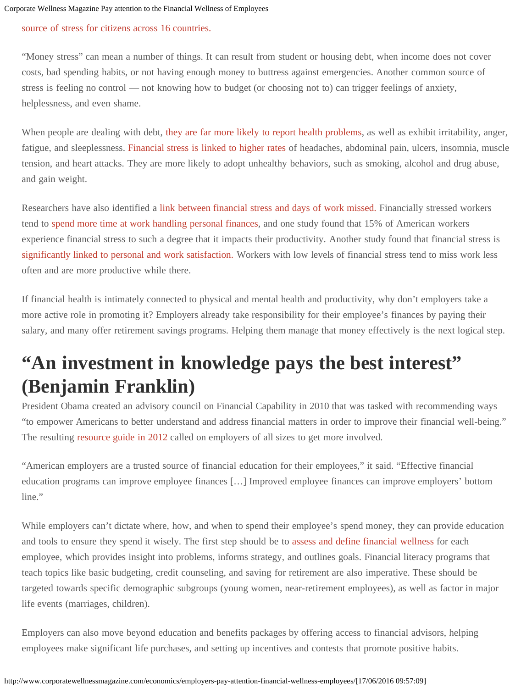#### [source of stress for citizens across 16 countries.](http://www.livestrong.com/article/90031-common-causes-stress/)

"Money stress" can mean a number of things. It can result from student or housing debt, when income does not cover costs, bad spending habits, or not having enough money to buttress against emergencies. Another common source of stress is feeling no control — not knowing how to budget (or choosing not to) can trigger feelings of anxiety, helplessness, and even shame.

When people are dealing with debt, [they are far more likely to report health problems,](http://www.frbsf.org/community-development/files/choi.pdf) as well as exhibit irritability, anger, fatigue, and sleeplessness. [Financial stress is linked to higher rates](http://www.webmd.com/balance/features/the-debt-stress-connection) of headaches, abdominal pain, ulcers, insomnia, muscle tension, and heart attacks. They are more likely to adopt unhealthy behaviors, such as smoking, alcohol and drug abuse, and gain weight.

Researchers have also identified a [link between financial stress and days of work missed.](http://link.springer.com/article/10.1007%2Fs10834-006-9024-9#page-1) Financially stressed workers tend to [spend more time at work handling personal finances,](http://www.afcpe.org/assets/pdf/vol-717.pdf) and one study found that 15% of American workers experience financial stress to such a degree that it impacts their productivity. Another study found that financial stress is [significantly linked to personal and work satisfaction.](http://www.personalfinancefoundation.org/research/efd/Personal-Finances-and-Worker-Productivity.html) Workers with low levels of financial stress tend to miss work less often and are more productive while there.

If financial health is intimately connected to physical and mental health and productivity, why don't employers take a more active role in promoting it? Employers already take responsibility for their employee's finances by paying their salary, and many offer retirement savings programs. Helping them manage that money effectively is the next logical step.

#### **"An investment in knowledge pays the best interest" (Benjamin Franklin)**

President Obama created an advisory council on Financial Capability in 2010 that was tasked with recommending ways "to empower Americans to better understand and address financial matters in order to improve their financial well-being." The resulting [resource guide in 2012](http://www.whitehouse.gov/sites/default/files/final_toolkit_employers.pdf) called on employers of all sizes to get more involved.

"American employers are a trusted source of financial education for their employees," it said. "Effective financial education programs can improve employee finances […] Improved employee finances can improve employers' bottom line."

While employers can't dictate where, how, and when to spend their employee's spend money, they can provide education and tools to ensure they spend it wisely. The first step should be to [assess and define financial wellness](http://corp.bankofamerica.com/documents/16303/851760/Employer_Work_Benefit_Report.pdf) for each employee, which provides insight into problems, informs strategy, and outlines goals. Financial literacy programs that teach topics like basic budgeting, credit counseling, and saving for retirement are also imperative. These should be targeted towards specific demographic subgroups (young women, near-retirement employees), as well as factor in major life events (marriages, children).

Employers can also move beyond education and benefits packages by offering access to financial advisors, helping employees make significant life purchases, and setting up incentives and contests that promote positive habits.